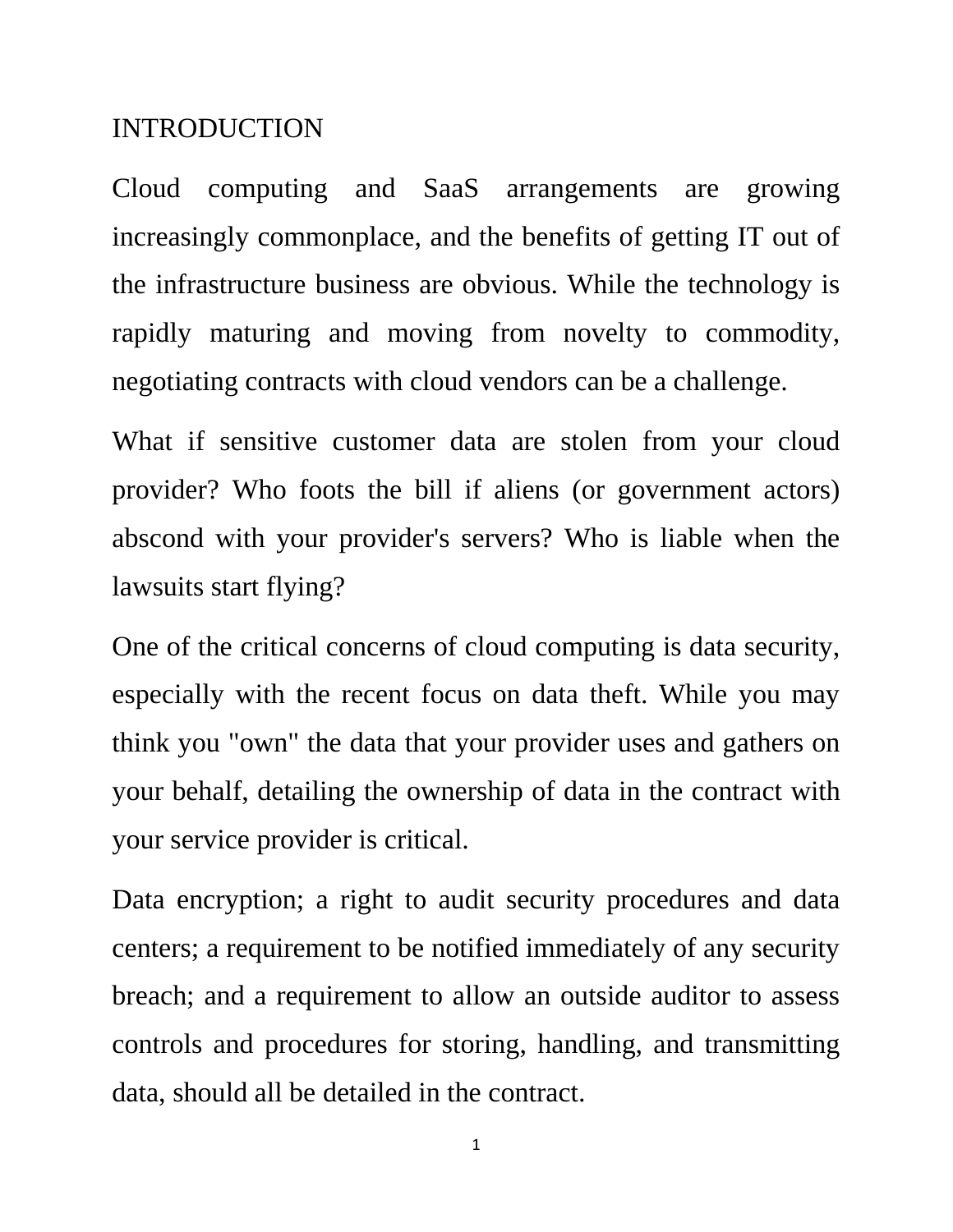## INTRODUCTION

Cloud computing and SaaS arrangements are growing increasingly commonplace, and the benefits of getting IT out of the infrastructure business are obvious. While the technology is rapidly maturing and moving from novelty to commodity, negotiating contracts with cloud vendors can be a challenge.

What if sensitive customer data are stolen from your cloud provider? Who foots the bill if aliens (or government actors) abscond with your provider's servers? Who is liable when the lawsuits start flying?

One of the critical concerns of cloud computing is data security, especially with the recent focus on data theft. While you may think you "own" the data that your provider uses and gathers on your behalf, detailing the ownership of data in the contract with your service provider is critical.

Data encryption; a right to audit security procedures and data centers; a requirement to be notified immediately of any security breach; and a requirement to allow an outside auditor to assess controls and procedures for storing, handling, and transmitting data, should all be detailed in the contract.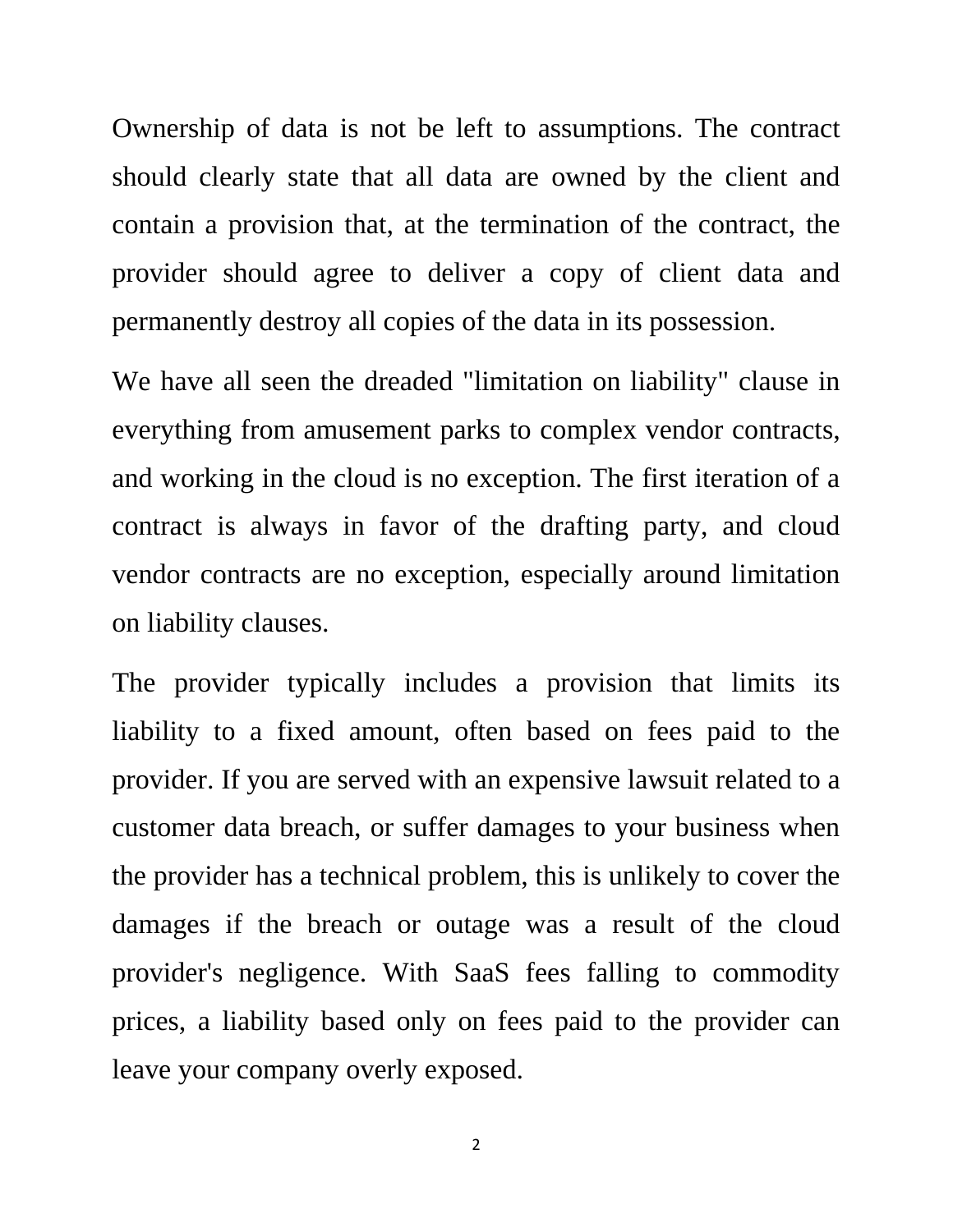Ownership of data is not be left to assumptions. The contract should clearly state that all data are owned by the client and contain a provision that, at the termination of the contract, the provider should agree to deliver a copy of client data and permanently destroy all copies of the data in its possession.

We have all seen the dreaded "limitation on liability" clause in everything from amusement parks to complex vendor contracts, and working in the cloud is no exception. The first iteration of a contract is always in favor of the drafting party, and cloud vendor contracts are no exception, especially around limitation on liability clauses.

The provider typically includes a provision that limits its liability to a fixed amount, often based on fees paid to the provider. If you are served with an expensive lawsuit related to a customer data breach, or suffer damages to your business when the provider has a technical problem, this is unlikely to cover the damages if the breach or outage was a result of the cloud provider's negligence. With SaaS fees falling to commodity prices, a liability based only on fees paid to the provider can leave your company overly exposed.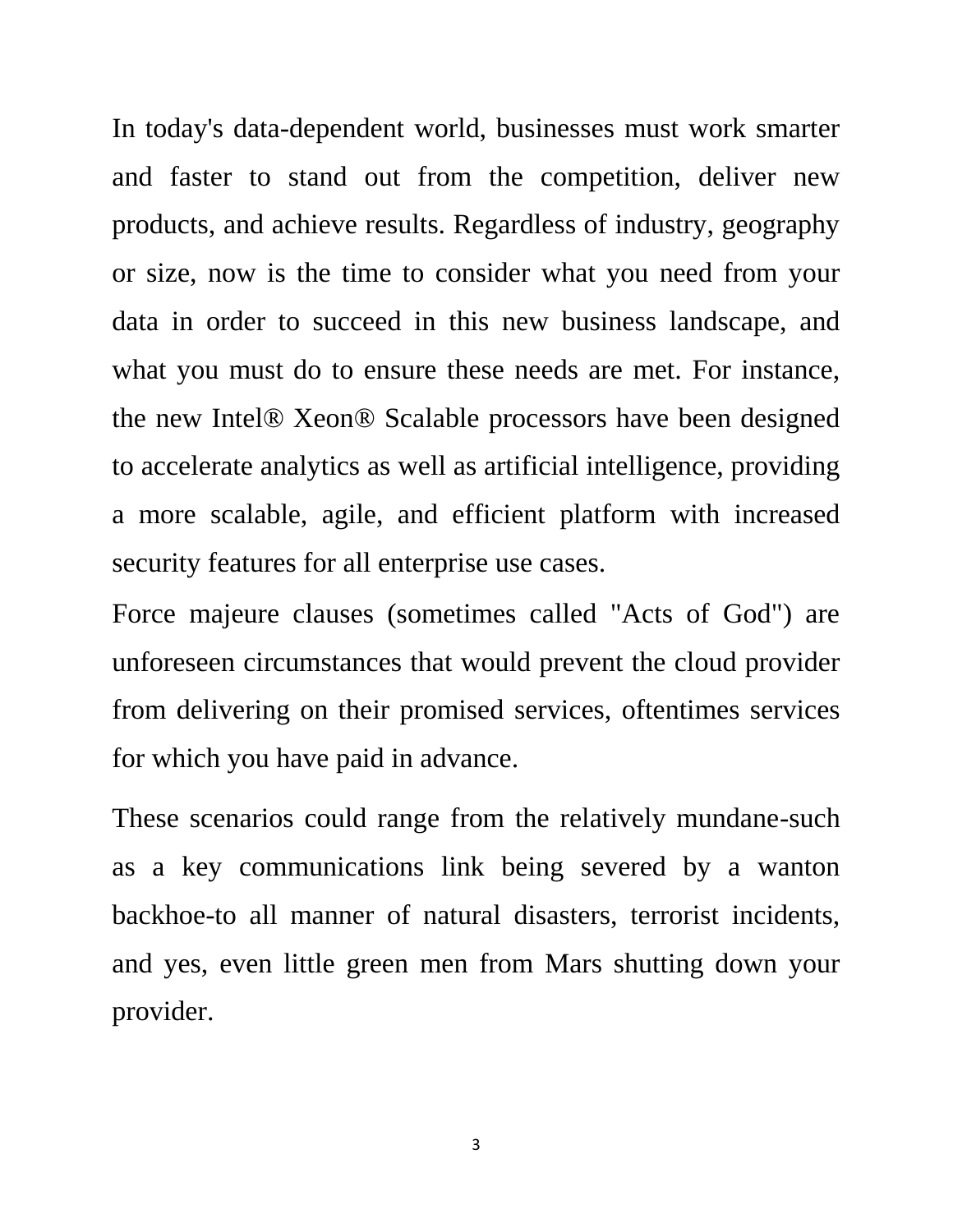In today's data-dependent world, businesses must work smarter and faster to stand out from the competition, deliver new products, and achieve results. Regardless of industry, geography or size, now is the time to consider what you need from your data in order to succeed in this new business landscape, and what you must do to ensure these needs are met. For instance, the new Intel® Xeon® Scalable processors have been designed to accelerate analytics as well as artificial intelligence, providing a more scalable, agile, and efficient platform with increased security features for all enterprise use cases.

Force majeure clauses (sometimes called "Acts of God") are unforeseen circumstances that would prevent the cloud provider from delivering on their promised services, oftentimes services for which you have paid in advance.

These scenarios could range from the relatively mundane-such as a key communications link being severed by a wanton backhoe-to all manner of natural disasters, terrorist incidents, and yes, even little green men from Mars shutting down your provider.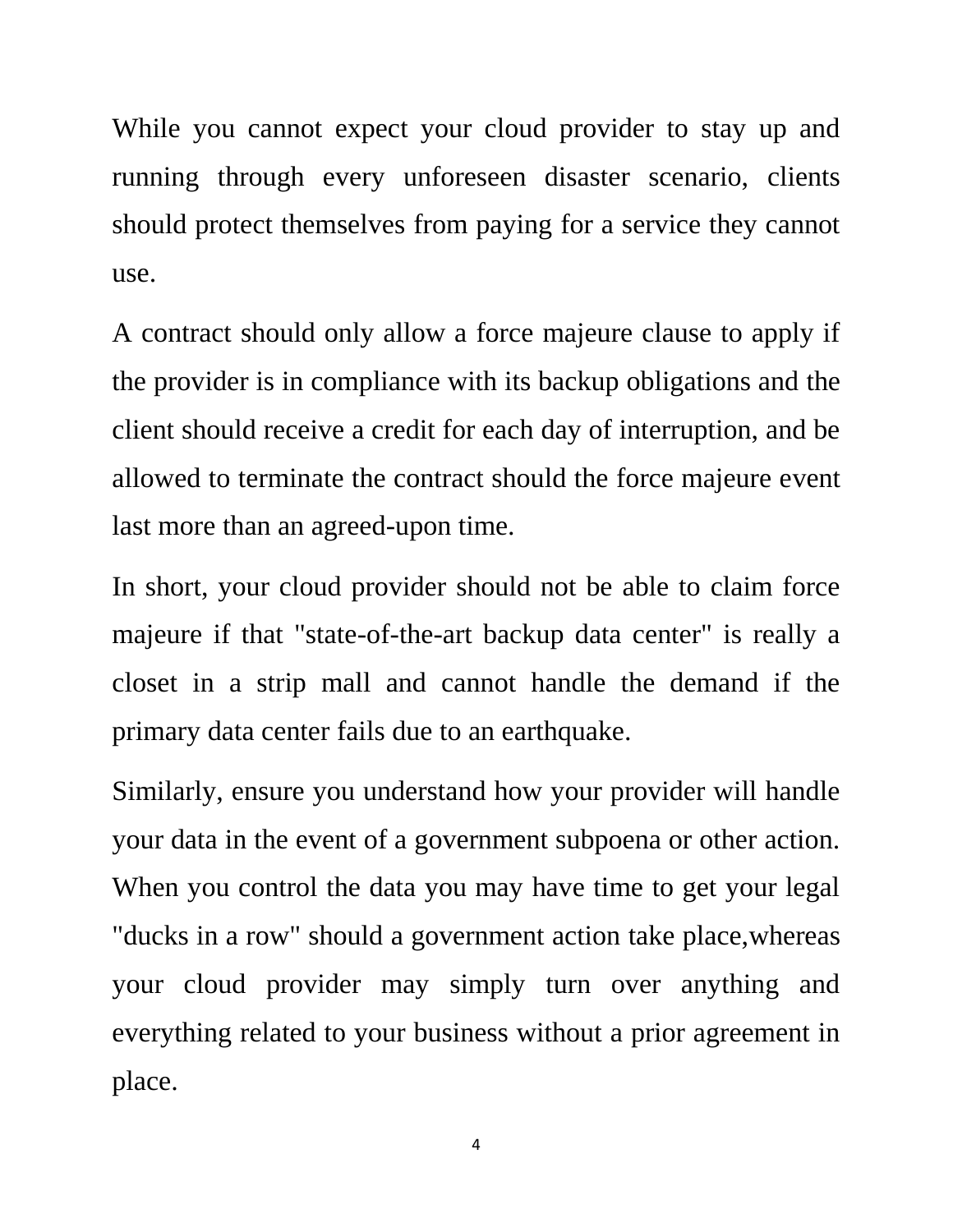While you cannot expect your cloud provider to stay up and running through every unforeseen disaster scenario, clients should protect themselves from paying for a service they cannot use.

A contract should only allow a force majeure clause to apply if the provider is in compliance with its backup obligations and the client should receive a credit for each day of interruption, and be allowed to terminate the contract should the force majeure event last more than an agreed-upon time.

In short, your cloud provider should not be able to claim force majeure if that "state-of-the-art backup data center" is really a closet in a strip mall and cannot handle the demand if the primary data center fails due to an earthquake.

Similarly, ensure you understand how your provider will handle your data in the event of a government subpoena or other action. When you control the data you may have time to get your legal "ducks in a row" should a government action take place,whereas your cloud provider may simply turn over anything and everything related to your business without a prior agreement in place.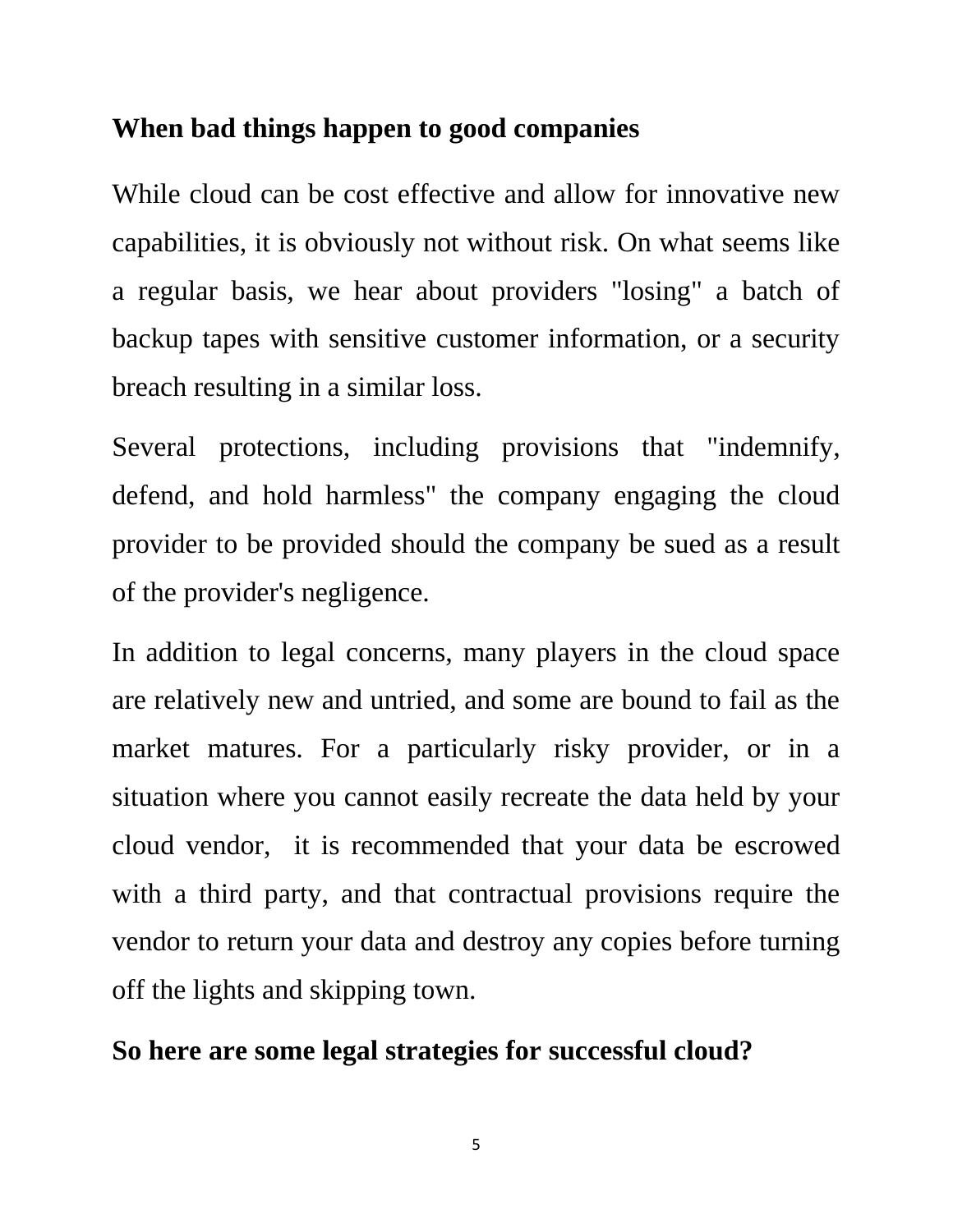## **When bad things happen to good companies**

While cloud can be cost effective and allow for innovative new capabilities, it is obviously not without risk. On what seems like a regular basis, we hear about providers "losing" a batch of backup tapes with sensitive customer information, or a security breach resulting in a similar loss.

Several protections, including provisions that "indemnify, defend, and hold harmless" the company engaging the cloud provider to be provided should the company be sued as a result of the provider's negligence.

In addition to legal concerns, many players in the cloud space are relatively new and untried, and some are bound to fail as the market matures. For a particularly risky provider, or in a situation where you cannot easily recreate the data held by your cloud vendor, it is recommended that your data be escrowed with a third party, and that contractual provisions require the vendor to return your data and destroy any copies before turning off the lights and skipping town.

## **So here are some legal strategies for successful cloud?**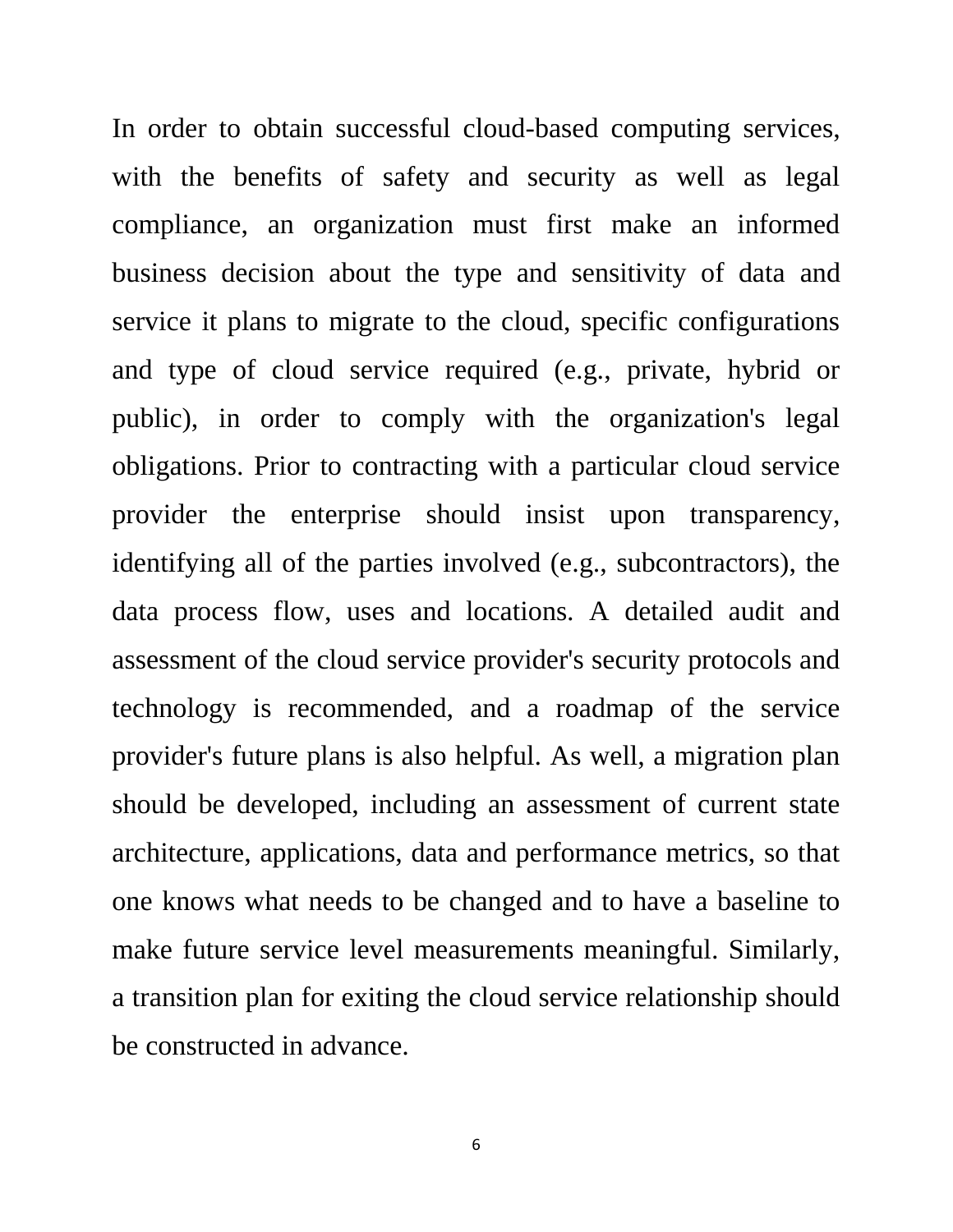In order to obtain successful cloud-based computing services, with the benefits of safety and security as well as legal compliance, an organization must first make an informed business decision about the type and sensitivity of data and service it plans to migrate to the cloud, specific configurations and type of cloud service required (e.g., private, hybrid or public), in order to comply with the organization's legal obligations. Prior to contracting with a particular cloud service provider the enterprise should insist upon transparency, identifying all of the parties involved (e.g., subcontractors), the data process flow, uses and locations. A detailed audit and assessment of the cloud service provider's security protocols and technology is recommended, and a roadmap of the service provider's future plans is also helpful. As well, a migration plan should be developed, including an assessment of current state architecture, applications, data and performance metrics, so that one knows what needs to be changed and to have a baseline to make future service level measurements meaningful. Similarly, a transition plan for exiting the cloud service relationship should be constructed in advance.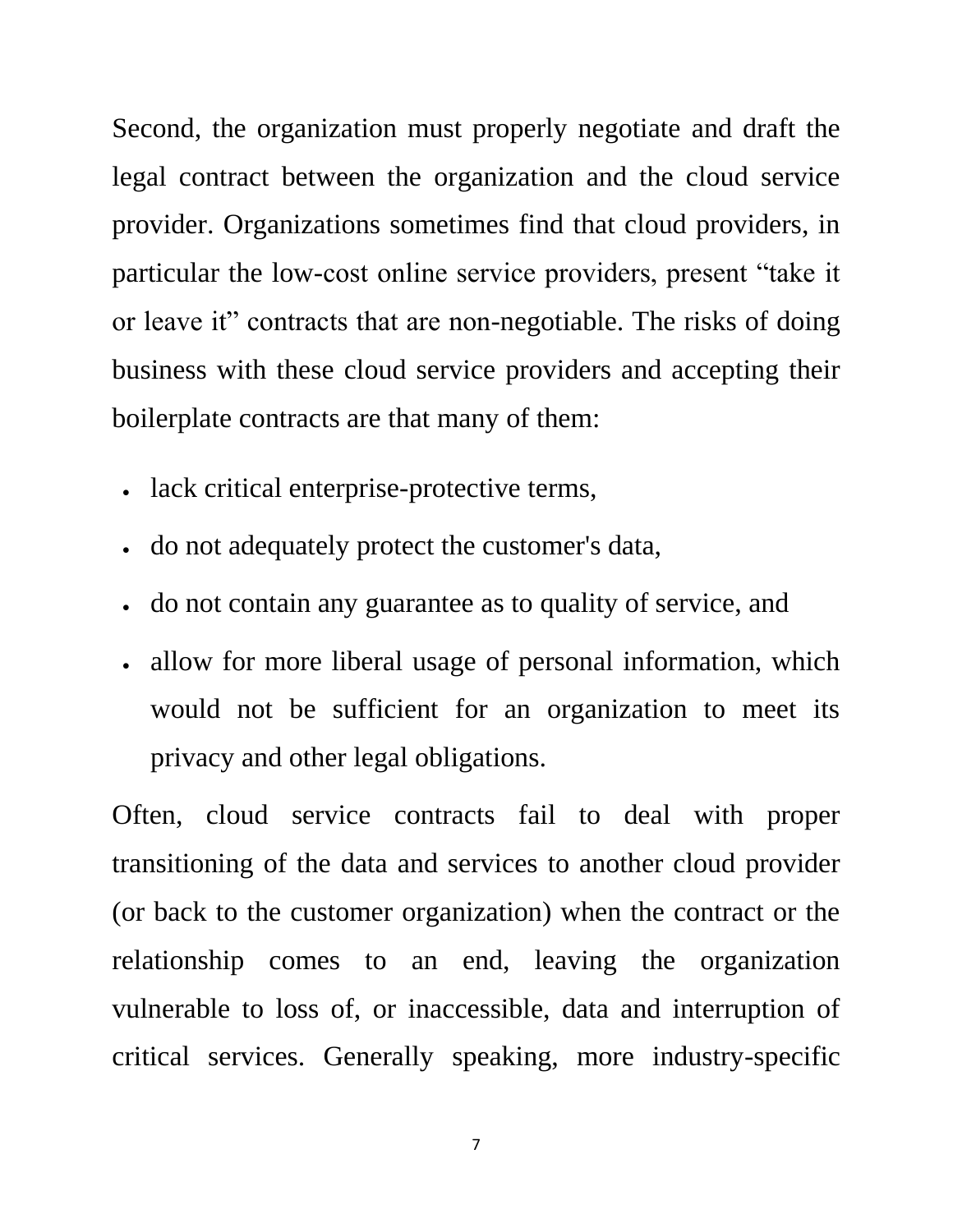Second, the organization must properly negotiate and draft the legal contract between the organization and the cloud service provider. Organizations sometimes find that cloud providers, in particular the low-cost online service providers, present "take it or leave it" contracts that are non-negotiable. The risks of doing business with these cloud service providers and accepting their boilerplate contracts are that many of them:

- lack critical enterprise-protective terms,
- do not adequately protect the customer's data,
- do not contain any guarantee as to quality of service, and
- allow for more liberal usage of personal information, which would not be sufficient for an organization to meet its privacy and other legal obligations.

Often, cloud service contracts fail to deal with proper transitioning of the data and services to another cloud provider (or back to the customer organization) when the contract or the relationship comes to an end, leaving the organization vulnerable to loss of, or inaccessible, data and interruption of critical services. Generally speaking, more industry-specific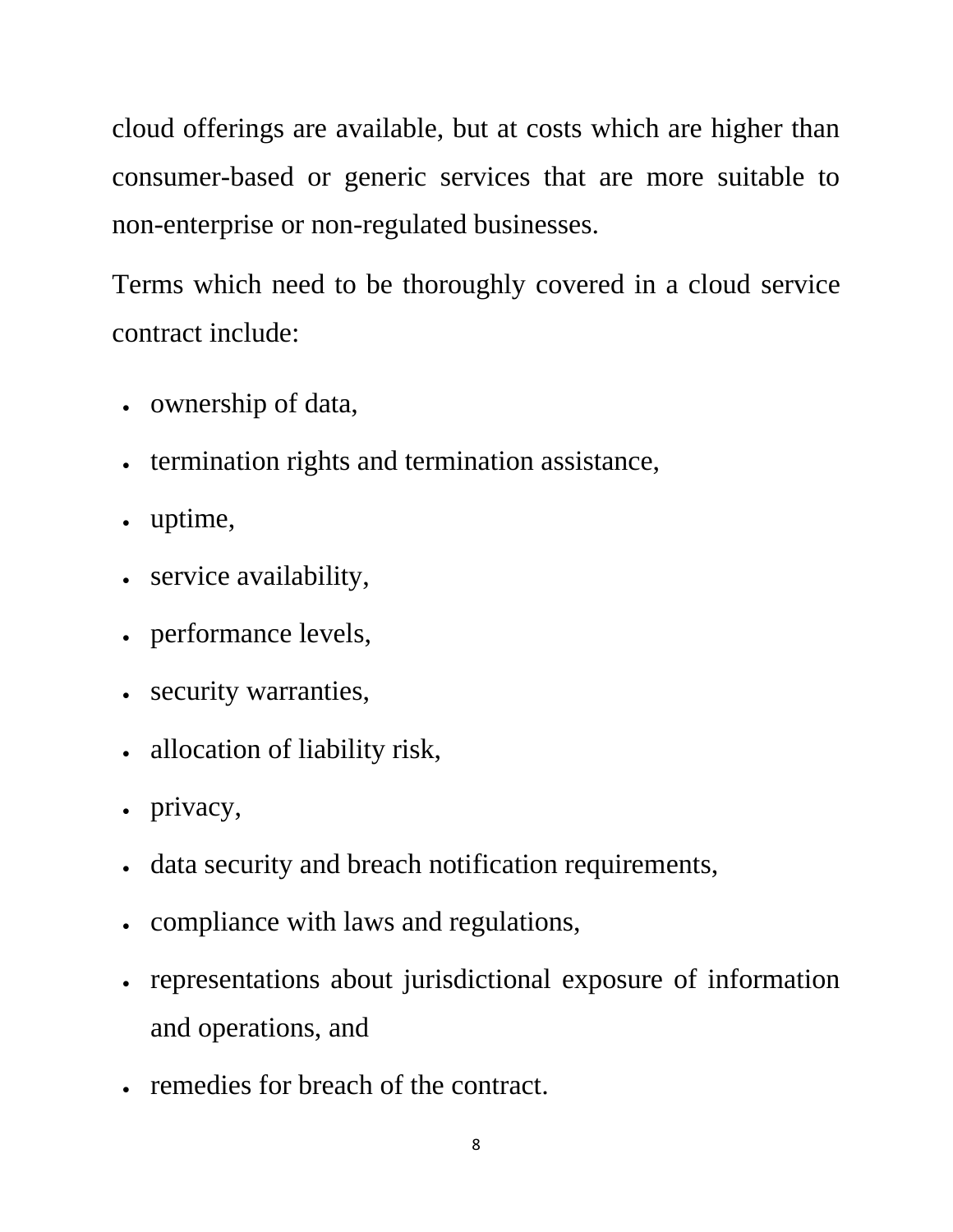cloud offerings are available, but at costs which are higher than consumer-based or generic services that are more suitable to non-enterprise or non-regulated businesses.

Terms which need to be thoroughly covered in a cloud service contract include:

- ownership of data,
- termination rights and termination assistance,
- uptime,
- service availability,
- performance levels,
- security warranties,
- allocation of liability risk,
- privacy,
- data security and breach notification requirements,
- compliance with laws and regulations,
- representations about jurisdictional exposure of information and operations, and
- remedies for breach of the contract.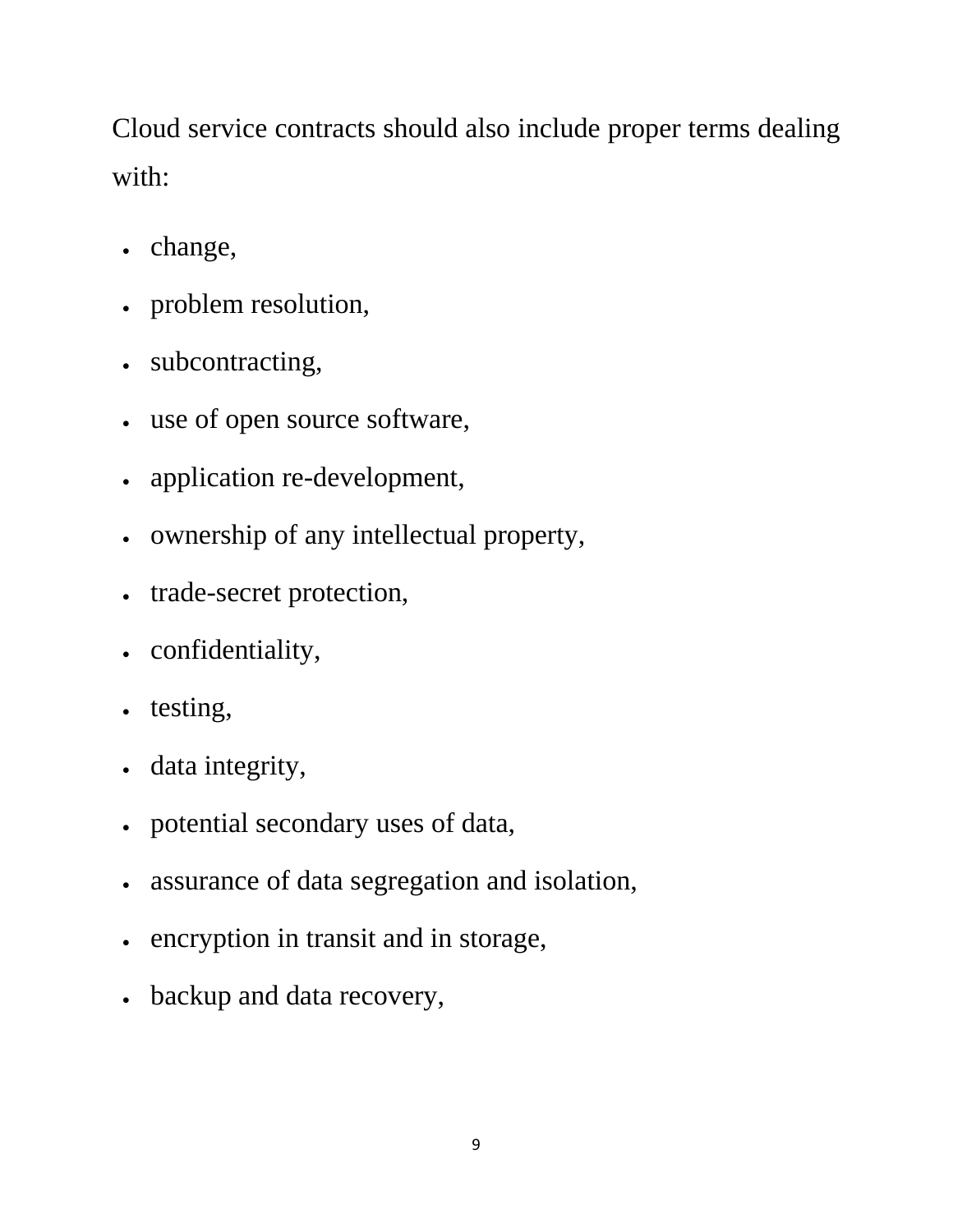Cloud service contracts should also include proper terms dealing with:

- change,
- problem resolution,
- subcontracting,
- use of open source software,
- application re-development,
- ownership of any intellectual property,
- trade-secret protection,
- confidentiality,
- testing,
- data integrity,
- potential secondary uses of data,
- assurance of data segregation and isolation,
- encryption in transit and in storage,
- backup and data recovery,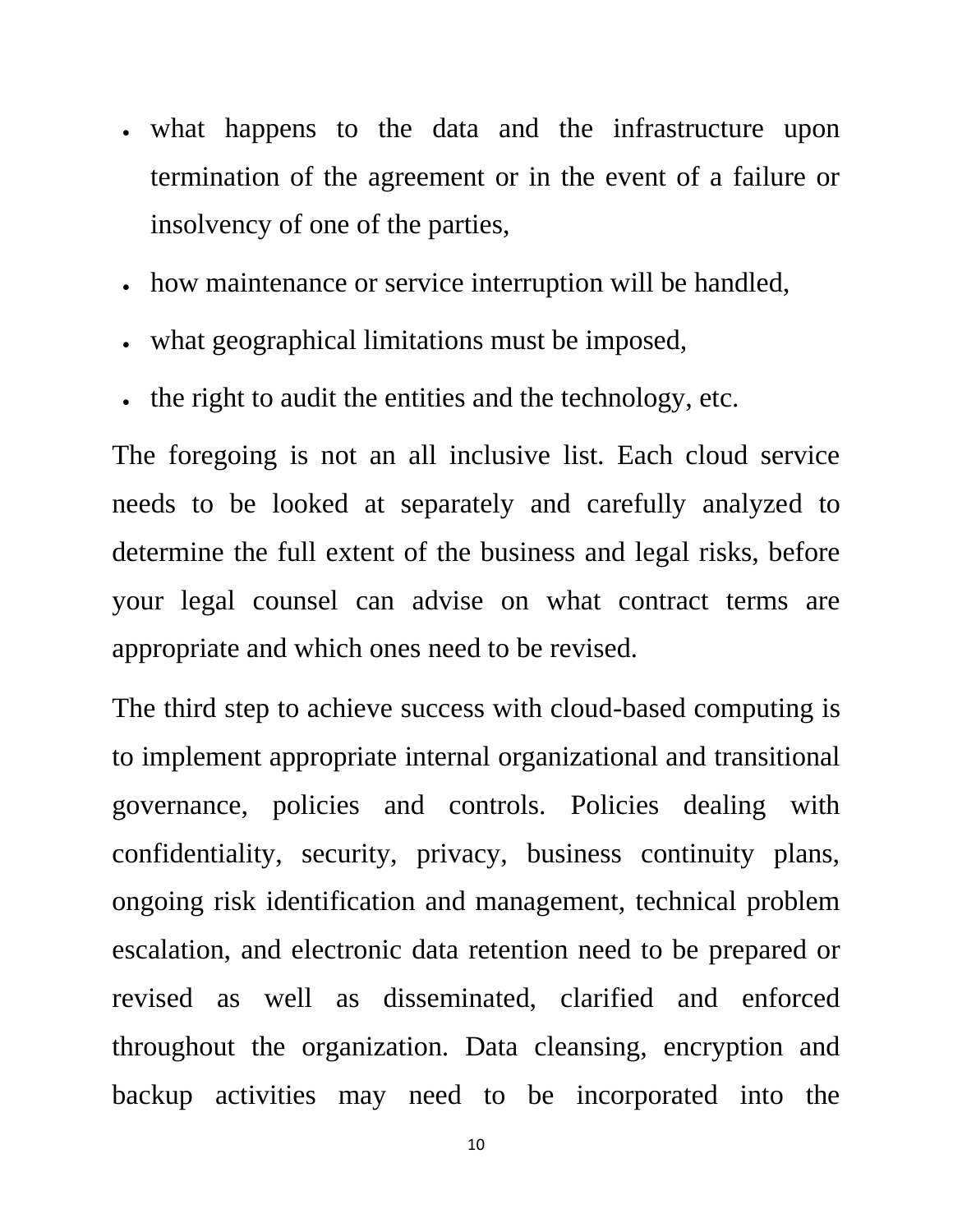- what happens to the data and the infrastructure upon termination of the agreement or in the event of a failure or insolvency of one of the parties,
- how maintenance or service interruption will be handled,
- what geographical limitations must be imposed,
- the right to audit the entities and the technology, etc.

The foregoing is not an all inclusive list. Each cloud service needs to be looked at separately and carefully analyzed to determine the full extent of the business and legal risks, before your legal counsel can advise on what contract terms are appropriate and which ones need to be revised.

The third step to achieve success with cloud-based computing is to implement appropriate internal organizational and transitional governance, policies and controls. Policies dealing with confidentiality, security, privacy, business continuity plans, ongoing risk identification and management, technical problem escalation, and electronic data retention need to be prepared or revised as well as disseminated, clarified and enforced throughout the organization. Data cleansing, encryption and backup activities may need to be incorporated into the